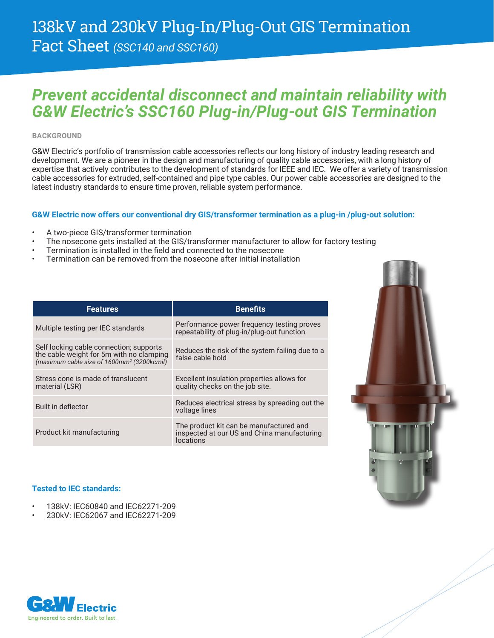## *Prevent accidental disconnect and maintain reliability with G&W Electric's SSC160 Plug-in/Plug-out GIS Termination*

## **BACKGROUND**

G&W Electric's portfolio of transmission cable accessories reflects our long history of industry leading research and development. We are a pioneer in the design and manufacturing of quality cable accessories, with a long history of expertise that actively contributes to the development of standards for IEEE and IEC. We offer a variety of transmission cable accessories for extruded, self-contained and pipe type cables. Our power cable accessories are designed to the latest industry standards to ensure time proven, reliable system performance.

## **G&W Electric now offers our conventional dry GIS/transformer termination as a plug-in /plug-out solution:**

- A two-piece GIS/transformer termination
- The nosecone gets installed at the GIS/transformer manufacturer to allow for factory testing
- Termination is installed in the field and connected to the nosecone
- Termination can be removed from the nosecone after initial installation

| <b>Features</b>                                                                                                                               | <b>Benefits</b>                                                                                     |
|-----------------------------------------------------------------------------------------------------------------------------------------------|-----------------------------------------------------------------------------------------------------|
| Multiple testing per IEC standards                                                                                                            | Performance power frequency testing proves<br>repeatability of plug-in/plug-out function            |
| Self locking cable connection; supports<br>the cable weight for 5m with no clamping<br>(maximum cable size of 1600mm <sup>2</sup> (3200kcmil) | Reduces the risk of the system failing due to a<br>false cable hold                                 |
| Stress cone is made of translucent<br>material (LSR)                                                                                          | Excellent insulation properties allows for<br>quality checks on the job site.                       |
| Built in deflector                                                                                                                            | Reduces electrical stress by spreading out the<br>voltage lines                                     |
| Product kit manufacturing                                                                                                                     | The product kit can be manufactured and<br>inspected at our US and China manufacturing<br>locations |



## **Tested to IEC standards:**

- 138kV: IEC60840 and IEC62271-209
- 230kV: IEC62067 and IEC62271-209